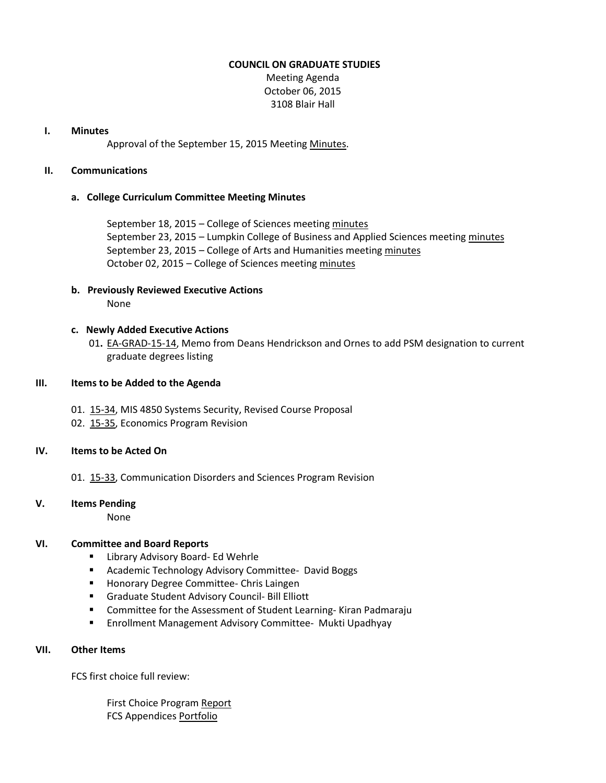#### **COUNCIL ON GRADUATE STUDIES**

Meeting Agenda October 06, 2015 3108 Blair Hall

#### **I. Minutes**

Approval of the September 15, 2015 Meeting [Minutes.](http://castle.eiu.edu/eiucgs/currentminutes/Minutes09-15-15.pdf)

#### **II. Communications**

#### **a. College Curriculum Committee Meeting Minutes**

September 18, 2015 – College of Sciences meetin[g minutes](http://castle.eiu.edu/%7Eeiucgs/currentagendaitems/COSMin09-18-15.pdf) September 23, 2015 – Lumpkin College of Business and Applied Sciences meeting [minutes](http://castle.eiu.edu/%7Eeiucgs/currentagendaitems/LCBASMin09-23-15.pdf) September 23, 2015 – College of Arts and Humanities meeting [minutes](http://castle.eiu.edu/%7Eeiucgs/currentagendaitems/CAHMin09-23-15.pdf) October 02, 2015 – College of Sciences meeting [minutes](http://castle.eiu.edu/%7Eeiucgs/currentagendaitems/COSMin10-02-15.pdf)

# **b. Previously Reviewed Executive Actions**

None

# **c. Newly Added Executive Actions**

01**.** [EA-GRAD-15-14,](http://castle.eiu.edu/%7Eeiucgs/exec-actions/EA-GRAD-15-14.pdf) Memo from Deans Hendrickson and Ornes to add PSM designation to current graduate degrees listing

# **III. Items to be Added to the Agenda**

- 01. [15-34,](http://castle.eiu.edu/%7Eeiucgs/currentagendaitems/agenda15-34.pdf) MIS 4850 Systems Security, Revised Course Proposal
- 02. [15-35,](http://castle.eiu.edu/%7Eeiucgs/currentagendaitems/agenda15-35.pdf) Economics Program Revision

# **IV. Items to be Acted On**

01. [15-33,](http://castle.eiu.edu/%7Eeiucgs/currentagendaitems/agenda15-33.pdf) Communication Disorders and Sciences Program Revision

# **V. Items Pending**

None

# **VI. Committee and Board Reports**

- **E** Library Advisory Board- Ed Wehrle
- **E** Academic Technology Advisory Committee- David Boggs
- **Honorary Degree Committee- Chris Laingen**
- Graduate Student Advisory Council- Bill Elliott
- **EXTER** Committee for the Assessment of Student Learning-Kiran Padmaraju
- **Enrollment Management Advisory Committee- Mukti Upadhyay**

# **VII. Other Items**

FCS first choice full review:

 First Choice Program [Report](http://castle.eiu.edu/%7Eeiucgs/currentagendaitems/FCS_FirstChoiceReport.pdf) FCS Appendices [Portfolio](http://castle.eiu.edu/%7Eeiucgs/currentagendaitems/FCS_Appendices.pdf)